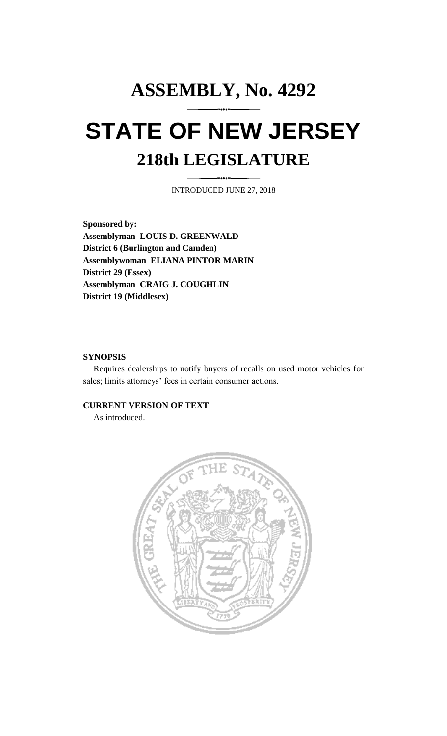# **ASSEMBLY, No. 4292 STATE OF NEW JERSEY 218th LEGISLATURE**

INTRODUCED JUNE 27, 2018

**Sponsored by: Assemblyman LOUIS D. GREENWALD District 6 (Burlington and Camden) Assemblywoman ELIANA PINTOR MARIN District 29 (Essex) Assemblyman CRAIG J. COUGHLIN District 19 (Middlesex)**

## **SYNOPSIS**

Requires dealerships to notify buyers of recalls on used motor vehicles for sales; limits attorneys' fees in certain consumer actions.

## **CURRENT VERSION OF TEXT**

As introduced.

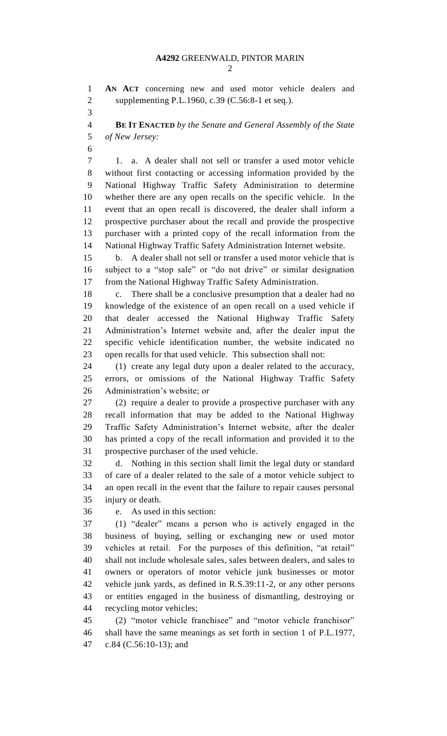**AN ACT** concerning new and used motor vehicle dealers and supplementing P.L.1960, c.39 (C.56:8-1 et seq.). **BE IT ENACTED** *by the Senate and General Assembly of the State of New Jersey:* 1. a. A dealer shall not sell or transfer a used motor vehicle without first contacting or accessing information provided by the National Highway Traffic Safety Administration to determine whether there are any open recalls on the specific vehicle. In the event that an open recall is discovered, the dealer shall inform a prospective purchaser about the recall and provide the prospective purchaser with a printed copy of the recall information from the National Highway Traffic Safety Administration Internet website. b. A dealer shall not sell or transfer a used motor vehicle that is subject to a "stop sale" or "do not drive" or similar designation from the National Highway Traffic Safety Administration. c. There shall be a conclusive presumption that a dealer had no knowledge of the existence of an open recall on a used vehicle if that dealer accessed the National Highway Traffic Safety Administration's Internet website and, after the dealer input the specific vehicle identification number, the website indicated no open recalls for that used vehicle. This subsection shall not: (1) create any legal duty upon a dealer related to the accuracy, errors, or omissions of the National Highway Traffic Safety Administration's website; or (2) require a dealer to provide a prospective purchaser with any recall information that may be added to the National Highway Traffic Safety Administration's Internet website, after the dealer has printed a copy of the recall information and provided it to the prospective purchaser of the used vehicle. d. Nothing in this section shall limit the legal duty or standard of care of a dealer related to the sale of a motor vehicle subject to an open recall in the event that the failure to repair causes personal injury or death. e. As used in this section: (1) "dealer" means a person who is actively engaged in the business of buying, selling or exchanging new or used motor vehicles at retail. For the purposes of this definition, "at retail" shall not include wholesale sales, sales between dealers, and sales to owners or operators of motor vehicle junk businesses or motor vehicle junk yards, as defined in R.S.39:11-2, or any other persons or entities engaged in the business of dismantling, destroying or recycling motor vehicles; (2) "motor vehicle franchisee" and "motor vehicle franchisor" shall have the same meanings as set forth in section 1 of P.L.1977, c.84 (C.56:10-13); and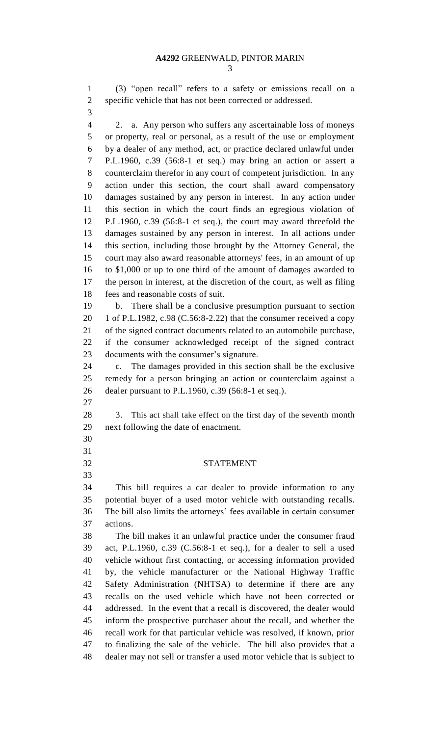### **A4292** GREENWALD, PINTOR MARIN

 (3) "open recall" refers to a safety or emissions recall on a specific vehicle that has not been corrected or addressed.

 2. a. Any person who suffers any ascertainable loss of moneys or property, real or personal, as a result of the use or employment by a dealer of any method, act, or practice declared unlawful under P.L.1960, c.39 (56:8-1 et seq.) may bring an action or assert a counterclaim therefor in any court of competent jurisdiction. In any action under this section, the court shall award compensatory damages sustained by any person in interest. In any action under this section in which the court finds an egregious violation of P.L.1960, c.39 (56:8-1 et seq.), the court may award threefold the damages sustained by any person in interest. In all actions under this section, including those brought by the Attorney General, the court may also award reasonable attorneys' fees, in an amount of up to \$1,000 or up to one third of the amount of damages awarded to the person in interest, at the discretion of the court, as well as filing fees and reasonable costs of suit.

 b. There shall be a conclusive presumption pursuant to section 1 of P.L.1982, c.98 (C.56:8-2.22) that the consumer received a copy of the signed contract documents related to an automobile purchase, if the consumer acknowledged receipt of the signed contract documents with the consumer's signature.

 c. The damages provided in this section shall be the exclusive remedy for a person bringing an action or counterclaim against a dealer pursuant to P.L.1960, c.39 (56:8-1 et seq.).

 

 3. This act shall take effect on the first day of the seventh month next following the date of enactment.

#### STATEMENT

 This bill requires a car dealer to provide information to any potential buyer of a used motor vehicle with outstanding recalls. The bill also limits the attorneys' fees available in certain consumer actions.

 The bill makes it an unlawful practice under the consumer fraud act, P.L.1960, c.39 (C.56:8-1 et seq.), for a dealer to sell a used vehicle without first contacting, or accessing information provided by, the vehicle manufacturer or the National Highway Traffic Safety Administration (NHTSA) to determine if there are any recalls on the used vehicle which have not been corrected or addressed. In the event that a recall is discovered, the dealer would inform the prospective purchaser about the recall, and whether the recall work for that particular vehicle was resolved, if known, prior to finalizing the sale of the vehicle. The bill also provides that a dealer may not sell or transfer a used motor vehicle that is subject to